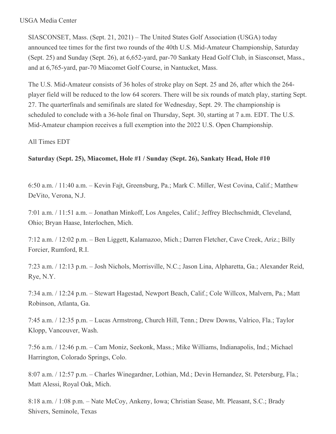SIASCONSET, Mass. (Sept. 21, 2021) – The United States Golf Association (USGA) today announced tee times for the first two rounds of the 40th U.S. Mid-Amateur Championship, Saturday (Sept. 25) and Sunday (Sept. 26), at 6,652-yard, par-70 Sankaty Head Golf Club, in Siasconset, Mass., and at 6,765-yard, par-70 Miacomet Golf Course, in Nantucket, Mass.

The U.S. Mid-Amateur consists of 36 holes of stroke play on Sept. 25 and 26, after which the 264 player field will be reduced to the low 64 scorers. There will be six rounds of match play, starting Sept. 27. The quarterfinals and semifinals are slated for Wednesday, Sept. 29. The championship is scheduled to conclude with a 36-hole final on Thursday, Sept. 30, starting at 7 a.m. EDT. The U.S. Mid-Amateur champion receives a full exemption into the 2022 U.S. Open Championship.

All Times EDT

# **Saturday (Sept. 25), Miacomet, Hole #1 / Sunday (Sept. 26), Sankaty Head, Hole #10**

6:50 a.m. / 11:40 a.m. – Kevin Fajt, Greensburg, Pa.; Mark C. Miller, West Covina, Calif.; Matthew DeVito, Verona, N.J.

7:01 a.m. / 11:51 a.m. – Jonathan Minkoff, Los Angeles, Calif.; Jeffrey Blechschmidt, Cleveland, Ohio; Bryan Haase, Interlochen, Mich.

7:12 a.m. / 12:02 p.m. – Ben Liggett, Kalamazoo, Mich.; Darren Fletcher, Cave Creek, Ariz.; Billy Forcier, Rumford, R.I.

7:23 a.m. / 12:13 p.m. – Josh Nichols, Morrisville, N.C.; Jason Lina, Alpharetta, Ga.; Alexander Reid, Rye, N.Y.

7:34 a.m. / 12:24 p.m. – Stewart Hagestad, Newport Beach, Calif.; Cole Willcox, Malvern, Pa.; Matt Robinson, Atlanta, Ga.

7:45 a.m. / 12:35 p.m. – Lucas Armstrong, Church Hill, Tenn.; Drew Downs, Valrico, Fla.; Taylor Klopp, Vancouver, Wash.

7:56 a.m. / 12:46 p.m. – Cam Moniz, Seekonk, Mass.; Mike Williams, Indianapolis, Ind.; Michael Harrington, Colorado Springs, Colo.

8:07 a.m. / 12:57 p.m. – Charles Winegardner, Lothian, Md.; Devin Hernandez, St. Petersburg, Fla.; Matt Alessi, Royal Oak, Mich.

8:18 a.m. / 1:08 p.m. – Nate McCoy, Ankeny, Iowa; Christian Sease, Mt. Pleasant, S.C.; Brady Shivers, Seminole, Texas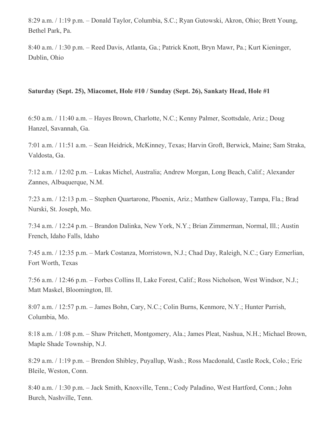8:29 a.m. / 1:19 p.m. – Donald Taylor, Columbia, S.C.; Ryan Gutowski, Akron, Ohio; Brett Young, Bethel Park, Pa.

8:40 a.m. / 1:30 p.m. – Reed Davis, Atlanta, Ga.; Patrick Knott, Bryn Mawr, Pa.; Kurt Kieninger, Dublin, Ohio

## **Saturday (Sept. 25), Miacomet, Hole #10 / Sunday (Sept. 26), Sankaty Head, Hole #1**

6:50 a.m. / 11:40 a.m. – Hayes Brown, Charlotte, N.C.; Kenny Palmer, Scottsdale, Ariz.; Doug Hanzel, Savannah, Ga.

7:01 a.m. / 11:51 a.m. – Sean Heidrick, McKinney, Texas; Harvin Groft, Berwick, Maine; Sam Straka, Valdosta, Ga.

7:12 a.m. / 12:02 p.m. – Lukas Michel, Australia; Andrew Morgan, Long Beach, Calif.; Alexander Zannes, Albuquerque, N.M.

7:23 a.m. / 12:13 p.m. – Stephen Quartarone, Phoenix, Ariz.; Matthew Galloway, Tampa, Fla.; Brad Nurski, St. Joseph, Mo.

7:34 a.m. / 12:24 p.m. – Brandon Dalinka, New York, N.Y.; Brian Zimmerman, Normal, Ill.; Austin French, Idaho Falls, Idaho

7:45 a.m. / 12:35 p.m. – Mark Costanza, Morristown, N.J.; Chad Day, Raleigh, N.C.; Gary Ezmerlian, Fort Worth, Texas

7:56 a.m. / 12:46 p.m. – Forbes Collins II, Lake Forest, Calif.; Ross Nicholson, West Windsor, N.J.; Matt Maskel, Bloomington, Ill.

8:07 a.m. / 12:57 p.m. – James Bohn, Cary, N.C.; Colin Burns, Kenmore, N.Y.; Hunter Parrish, Columbia, Mo.

8:18 a.m. / 1:08 p.m. – Shaw Pritchett, Montgomery, Ala.; James Pleat, Nashua, N.H.; Michael Brown, Maple Shade Township, N.J.

8:29 a.m. / 1:19 p.m. – Brendon Shibley, Puyallup, Wash.; Ross Macdonald, Castle Rock, Colo.; Eric Bleile, Weston, Conn.

8:40 a.m. / 1:30 p.m. – Jack Smith, Knoxville, Tenn.; Cody Paladino, West Hartford, Conn.; John Burch, Nashville, Tenn.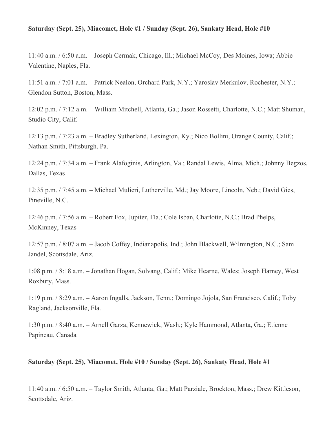#### **Saturday (Sept. 25), Miacomet, Hole #1 / Sunday (Sept. 26), Sankaty Head, Hole #10**

11:40 a.m. / 6:50 a.m. – Joseph Cermak, Chicago, Ill.; Michael McCoy, Des Moines, Iowa; Abbie Valentine, Naples, Fla.

11:51 a.m. / 7:01 a.m. – Patrick Nealon, Orchard Park, N.Y.; Yaroslav Merkulov, Rochester, N.Y.; Glendon Sutton, Boston, Mass.

12:02 p.m. / 7:12 a.m. – William Mitchell, Atlanta, Ga.; Jason Rossetti, Charlotte, N.C.; Matt Shuman, Studio City, Calif.

12:13 p.m. / 7:23 a.m. – Bradley Sutherland, Lexington, Ky.; Nico Bollini, Orange County, Calif.; Nathan Smith, Pittsburgh, Pa.

12:24 p.m. / 7:34 a.m. – Frank Alafoginis, Arlington, Va.; Randal Lewis, Alma, Mich.; Johnny Begzos, Dallas, Texas

12:35 p.m. / 7:45 a.m. – Michael Mulieri, Lutherville, Md.; Jay Moore, Lincoln, Neb.; David Gies, Pineville, N.C.

12:46 p.m. / 7:56 a.m. – Robert Fox, Jupiter, Fla.; Cole Isban, Charlotte, N.C.; Brad Phelps, McKinney, Texas

12:57 p.m. / 8:07 a.m. – Jacob Coffey, Indianapolis, Ind.; John Blackwell, Wilmington, N.C.; Sam Jandel, Scottsdale, Ariz.

1:08 p.m. / 8:18 a.m. – Jonathan Hogan, Solvang, Calif.; Mike Hearne, Wales; Joseph Harney, West Roxbury, Mass.

1:19 p.m. / 8:29 a.m. – Aaron Ingalls, Jackson, Tenn.; Domingo Jojola, San Francisco, Calif.; Toby Ragland, Jacksonville, Fla.

1:30 p.m. / 8:40 a.m. – Arnell Garza, Kennewick, Wash.; Kyle Hammond, Atlanta, Ga.; Etienne Papineau, Canada

#### **Saturday (Sept. 25), Miacomet, Hole #10 / Sunday (Sept. 26), Sankaty Head, Hole #1**

11:40 a.m. / 6:50 a.m. – Taylor Smith, Atlanta, Ga.; Matt Parziale, Brockton, Mass.; Drew Kittleson, Scottsdale, Ariz.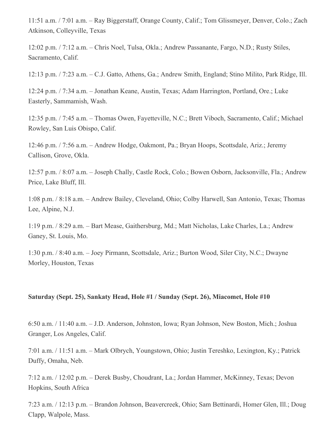11:51 a.m. / 7:01 a.m. – Ray Biggerstaff, Orange County, Calif.; Tom Glissmeyer, Denver, Colo.; Zach Atkinson, Colleyville, Texas

12:02 p.m. / 7:12 a.m. – Chris Noel, Tulsa, Okla.; Andrew Passanante, Fargo, N.D.; Rusty Stiles, Sacramento, Calif.

12:13 p.m. / 7:23 a.m. – C.J. Gatto, Athens, Ga.; Andrew Smith, England; Stino Milito, Park Ridge, Ill.

12:24 p.m. / 7:34 a.m. – Jonathan Keane, Austin, Texas; Adam Harrington, Portland, Ore.; Luke Easterly, Sammamish, Wash.

12:35 p.m. / 7:45 a.m. – Thomas Owen, Fayetteville, N.C.; Brett Viboch, Sacramento, Calif.; Michael Rowley, San Luis Obispo, Calif.

12:46 p.m. / 7:56 a.m. – Andrew Hodge, Oakmont, Pa.; Bryan Hoops, Scottsdale, Ariz.; Jeremy Callison, Grove, Okla.

12:57 p.m. / 8:07 a.m. – Joseph Chally, Castle Rock, Colo.; Bowen Osborn, Jacksonville, Fla.; Andrew Price, Lake Bluff, Ill.

1:08 p.m. / 8:18 a.m. – Andrew Bailey, Cleveland, Ohio; Colby Harwell, San Antonio, Texas; Thomas Lee, Alpine, N.J.

1:19 p.m. / 8:29 a.m. – Bart Mease, Gaithersburg, Md.; Matt Nicholas, Lake Charles, La.; Andrew Ganey, St. Louis, Mo.

1:30 p.m. / 8:40 a.m. – Joey Pirmann, Scottsdale, Ariz.; Burton Wood, Siler City, N.C.; Dwayne Morley, Houston, Texas

#### **Saturday (Sept. 25), Sankaty Head, Hole #1 / Sunday (Sept. 26), Miacomet, Hole #10**

6:50 a.m. / 11:40 a.m. – J.D. Anderson, Johnston, Iowa; Ryan Johnson, New Boston, Mich.; Joshua Granger, Los Angeles, Calif.

7:01 a.m. / 11:51 a.m. – Mark Olbrych, Youngstown, Ohio; Justin Tereshko, Lexington, Ky.; Patrick Duffy, Omaha, Neb.

7:12 a.m. / 12:02 p.m. – Derek Busby, Choudrant, La.; Jordan Hammer, McKinney, Texas; Devon Hopkins, South Africa

7:23 a.m. / 12:13 p.m. – Brandon Johnson, Beavercreek, Ohio; Sam Bettinardi, Homer Glen, Ill.; Doug Clapp, Walpole, Mass.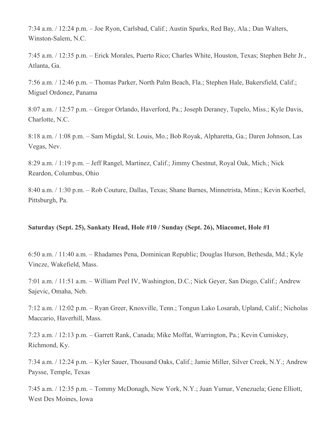7:34 a.m. / 12:24 p.m. – Joe Ryon, Carlsbad, Calif.; Austin Sparks, Red Bay, Ala.; Dan Walters, Winston-Salem, N.C.

7:45 a.m. / 12:35 p.m. – Erick Morales, Puerto Rico; Charles White, Houston, Texas; Stephen Behr Jr., Atlanta, Ga.

7:56 a.m. / 12:46 p.m. – Thomas Parker, North Palm Beach, Fla.; Stephen Hale, Bakersfield, Calif.; Miguel Ordonez, Panama

8:07 a.m. / 12:57 p.m. – Gregor Orlando, Haverford, Pa.; Joseph Deraney, Tupelo, Miss.; Kyle Davis, Charlotte, N.C.

8:18 a.m. / 1:08 p.m. – Sam Migdal, St. Louis, Mo.; Bob Royak, Alpharetta, Ga.; Daren Johnson, Las Vegas, Nev.

8:29 a.m. / 1:19 p.m. – Jeff Rangel, Martinez, Calif.; Jimmy Chestnut, Royal Oak, Mich.; Nick Reardon, Columbus, Ohio

8:40 a.m. / 1:30 p.m. – Rob Couture, Dallas, Texas; Shane Barnes, Minnetrista, Minn.; Kevin Koerbel, Pittsburgh, Pa.

#### **Saturday (Sept. 25), Sankaty Head, Hole #10 / Sunday (Sept. 26), Miacomet, Hole #1**

6:50 a.m. / 11:40 a.m. – Rhadames Pena, Dominican Republic; Douglas Hurson, Bethesda, Md.; Kyle Vincze, Wakefield, Mass.

7:01 a.m. / 11:51 a.m. – William Peel IV, Washington, D.C.; Nick Geyer, San Diego, Calif.; Andrew Sajevic, Omaha, Neb.

7:12 a.m. / 12:02 p.m. – Ryan Greer, Knoxville, Tenn.; Tongun Lako Losarah, Upland, Calif.; Nicholas Maccario, Haverhill, Mass.

7:23 a.m. / 12:13 p.m. – Garrett Rank, Canada; Mike Moffat, Warrington, Pa.; Kevin Cumiskey, Richmond, Ky.

7:34 a.m. / 12:24 p.m. – Kyler Sauer, Thousand Oaks, Calif.; Jamie Miller, Silver Creek, N.Y.; Andrew Paysse, Temple, Texas

7:45 a.m. / 12:35 p.m. – Tommy McDonagh, New York, N.Y.; Juan Yumar, Venezuela; Gene Elliott, West Des Moines, Iowa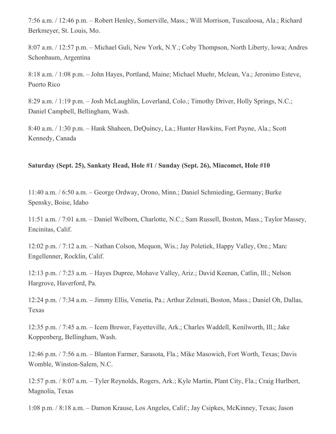7:56 a.m. / 12:46 p.m. – Robert Henley, Somerville, Mass.; Will Morrison, Tuscaloosa, Ala.; Richard Berkmeyer, St. Louis, Mo.

8:07 a.m. / 12:57 p.m. – Michael Guli, New York, N.Y.; Coby Thompson, North Liberty, Iowa; Andres Schonbaum, Argentina

8:18 a.m. / 1:08 p.m. – John Hayes, Portland, Maine; Michael Muehr, Mclean, Va.; Jeronimo Esteve, Puerto Rico

8:29 a.m. / 1:19 p.m. – Josh McLaughlin, Loverland, Colo.; Timothy Driver, Holly Springs, N.C.; Daniel Campbell, Bellingham, Wash.

8:40 a.m. / 1:30 p.m. – Hank Shaheen, DeQuincy, La.; Hunter Hawkins, Fort Payne, Ala.; Scott Kennedy, Canada

#### **Saturday (Sept. 25), Sankaty Head, Hole #1 / Sunday (Sept. 26), Miacomet, Hole #10**

11:40 a.m. / 6:50 a.m. – George Ordway, Orono, Minn.; Daniel Schmieding, Germany; Burke Spensky, Boise, Idaho

11:51 a.m. / 7:01 a.m. – Daniel Welborn, Charlotte, N.C.; Sam Russell, Boston, Mass.; Taylor Massey, Encinitas, Calif.

12:02 p.m. / 7:12 a.m. – Nathan Colson, Mequon, Wis.; Jay Poletiek, Happy Valley, Ore.; Marc Engellenner, Rocklin, Calif.

12:13 p.m. / 7:23 a.m. – Hayes Dupree, Mohave Valley, Ariz.; David Keenan, Catlin, Ill.; Nelson Hargrove, Haverford, Pa.

12:24 p.m. / 7:34 a.m. – Jimmy Ellis, Venetia, Pa.; Arthur Zelmati, Boston, Mass.; Daniel Oh, Dallas, Texas

12:35 p.m. / 7:45 a.m. – Icem Brewer, Fayetteville, Ark.; Charles Waddell, Kenilworth, Ill.; Jake Koppenberg, Bellingham, Wash.

12:46 p.m. / 7:56 a.m. – Blanton Farmer, Sarasota, Fla.; Mike Masowich, Fort Worth, Texas; Davis Womble, Winston-Salem, N.C.

12:57 p.m. / 8:07 a.m. – Tyler Reynolds, Rogers, Ark.; Kyle Martin, Plant City, Fla.; Craig Hurlbert, Magnolia, Texas

1:08 p.m. / 8:18 a.m. – Damon Krause, Los Angeles, Calif.; Jay Csipkes, McKinney, Texas; Jason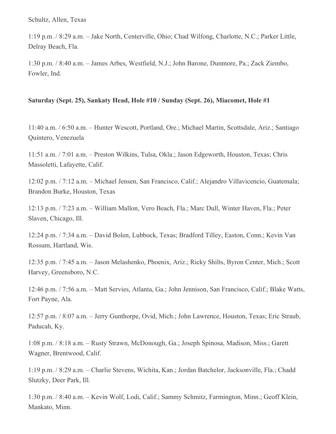Schultz, Allen, Texas

1:19 p.m. / 8:29 a.m. – Jake North, Centerville, Ohio; Chad Wilfong, Charlotte, N.C.; Parker Little, Delray Beach, Fla.

1:30 p.m. / 8:40 a.m. – James Arbes, Westfield, N.J.; John Barone, Dunmore, Pa.; Zack Ziembo, Fowler, Ind.

## **Saturday (Sept. 25), Sankaty Head, Hole #10 / Sunday (Sept. 26), Miacomet, Hole #1**

11:40 a.m. / 6:50 a.m. – Hunter Wescott, Portland, Ore.; Michael Martin, Scottsdale, Ariz.; Santiago Quintero, Venezuela

11:51 a.m. / 7:01 a.m. – Preston Wilkins, Tulsa, Okla.; Jason Edgeworth, Houston, Texas; Chris Massoletti, Lafayette, Calif.

12:02 p.m. / 7:12 a.m. – Michael Jensen, San Francisco, Calif.; Alejandro Villavicencio, Guatemala; Brandon Burke, Houston, Texas

12:13 p.m. / 7:23 a.m. – William Mallon, Vero Beach, Fla.; Marc Dull, Winter Haven, Fla.; Peter Slaven, Chicago, Ill.

12:24 p.m. / 7:34 a.m. – David Bolen, Lubbock, Texas; Bradford Tilley, Easton, Conn.; Kevin Van Rossum, Hartland, Wis.

12:35 p.m. / 7:45 a.m. – Jason Melashenko, Phoenix, Ariz.; Ricky Shilts, Byron Center, Mich.; Scott Harvey, Greensboro, N.C.

12:46 p.m. / 7:56 a.m. – Matt Servies, Atlanta, Ga.; John Jennison, San Francisco, Calif.; Blake Watts, Fort Payne, Ala.

12:57 p.m. / 8:07 a.m. – Jerry Gunthorpe, Ovid, Mich.; John Lawrence, Houston, Texas; Eric Straub, Paducah, Ky.

1:08 p.m. / 8:18 a.m. – Rusty Strawn, McDonough, Ga.; Joseph Spinosa, Madison, Miss.; Garett Wagner, Brentwood, Calif.

1:19 p.m. / 8:29 a.m. – Charlie Stevens, Wichita, Kan.; Jordan Batchelor, Jacksonville, Fla.; Chadd Slutzky, Deer Park, Ill.

1:30 p.m. / 8:40 a.m. – Kevin Wolf, Lodi, Calif.; Sammy Schmitz, Farmington, Minn.; Geoff Klein, Mankato, Minn.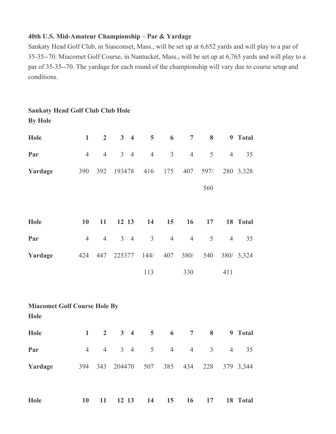# **40th U.S. Mid-Amateur Championship – Par & Yardage**

Sankaty Head Golf Club, in Siasconset, Mass., will be set up at 6,652 yards and will play to a par of 35-35--70. Miacomet Golf Course, in Nantucket, Mass., will be set up at 6,765 yards and will play to a par of 35-35--70. The yardage for each round of the championship will vary due to course setup and conditions.

# **Sankaty Head Golf Club Club Hole**

**By Hole**

| Hole                                | $\mathbf{1}$   | $\overline{2}$ | $\mathbf{3}$   | $\overline{\mathbf{4}}$ | 5              | 6              | $\overline{7}$ | 8              |                | 9 Total    |
|-------------------------------------|----------------|----------------|----------------|-------------------------|----------------|----------------|----------------|----------------|----------------|------------|
| Par                                 | $\overline{4}$ | $\overline{4}$ | 3 <sup>7</sup> | $\overline{4}$          | $\overline{4}$ | $\overline{3}$ | $\overline{4}$ | 5              | $\overline{4}$ | 35         |
| Yardage                             | 390            | 392            | 193478         |                         | 416            | 175            | 407            | 597/           |                | 280 3,328  |
|                                     |                |                |                |                         |                |                |                | 560            |                |            |
|                                     |                |                |                |                         |                |                |                |                |                |            |
| Hole                                | 10             | 11             | 12 13          |                         | 14             | 15             | 16             | 17             |                | 18 Total   |
| Par                                 | $\overline{4}$ | $\overline{4}$ |                | $3 \quad 4$             | $\overline{3}$ | $\overline{4}$ | $\overline{4}$ | 5              | $\overline{4}$ | 35         |
| Yardage                             | 424            | 447            | 225377         |                         | 144/           | 407            | 380/           | 540            |                | 380/ 3,324 |
|                                     |                |                |                |                         | 113            |                | 330            |                | 411            |            |
|                                     |                |                |                |                         |                |                |                |                |                |            |
| <b>Miacomet Golf Course Hole By</b> |                |                |                |                         |                |                |                |                |                |            |
| Hole                                |                |                |                |                         |                |                |                |                |                |            |
| Hole                                | $\mathbf{1}$   | $\overline{2}$ |                | $3 \quad 4$             | 5              | 6              | $\overline{7}$ | 8              |                | 9 Total    |
| Par                                 | $\overline{4}$ | $\overline{4}$ |                | $3 \quad 4$             | 5              | $\overline{4}$ | $\overline{4}$ | $\overline{3}$ | $\overline{4}$ | 35         |
| Yardage                             | 394            | 343            | 204470         |                         | 507            | 385            | 434            | 228            |                | 379 3,344  |
|                                     |                |                |                |                         |                |                |                |                |                |            |
| Hole                                | 10             | 11             | 12 13          |                         | 14             | 15             | 16             | 17             |                | 18 Total   |